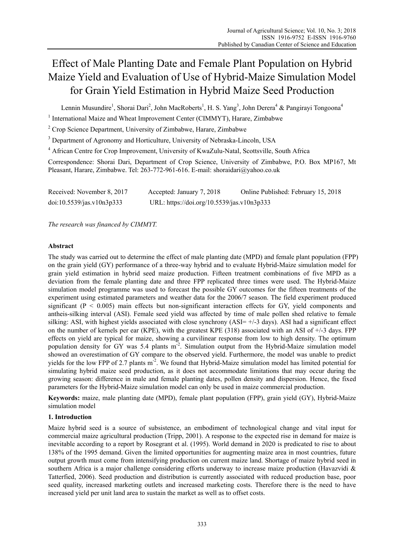# Effect of Male Planting Date and Female Plant Population on Hybrid Maize Yield and Evaluation of Use of Hybrid-Maize Simulation Model for Grain Yield Estimation in Hybrid Maize Seed Production

Lennin Musundire<sup>1</sup>, Shorai Dari<sup>2</sup>, John MacRoberts<sup>1</sup>, H. S. Yang<sup>3</sup>, John Derera<sup>4</sup> & Pangirayi Tongoona<sup>4</sup>

<sup>1</sup> International Maize and Wheat Improvement Center (CIMMYT), Harare, Zimbabwe

<sup>2</sup> Crop Science Department, University of Zimbabwe, Harare, Zimbabwe

<sup>3</sup> Department of Agronomy and Horticulture, University of Nebraska-Lincoln, USA

<sup>4</sup> African Centre for Crop Improvement, University of KwaZulu-Natal, Scottsville, South Africa

Correspondence: Shorai Dari, Department of Crop Science, University of Zimbabwe, P.O. Box MP167, Mt Pleasant, Harare, Zimbabwe. Tel: 263-772-961-616. E-mail: shoraidari@yahoo.co.uk

| Received: November 8, 2017 | Accepted: January 7, 2018                  | Online Published: February 15, 2018 |
|----------------------------|--------------------------------------------|-------------------------------------|
| doi:10.5539/jas.v10n3p333  | URL: https://doi.org/10.5539/jas.v10n3p333 |                                     |

*The research was financed by CIMMYT.*

# **Abstract**

The study was carried out to determine the effect of male planting date (MPD) and female plant population (FPP) on the grain yield (GY) performance of a three-way hybrid and to evaluate Hybrid-Maize simulation model for grain yield estimation in hybrid seed maize production. Fifteen treatment combinations of five MPD as a deviation from the female planting date and three FPP replicated three times were used. The Hybrid-Maize simulation model programme was used to forecast the possible GY outcomes for the fifteen treatments of the experiment using estimated parameters and weather data for the 2006/7 season. The field experiment produced significant (P < 0.005) main effects but non-significant interaction effects for GY, yield components and antheis-silking interval (ASI). Female seed yield was affected by time of male pollen shed relative to female silking: ASI, with highest yields associated with close synchrony (ASI=  $+/-3$  days). ASI had a significant effect on the number of kernels per ear (KPE), with the greatest KPE  $(318)$  associated with an ASI of  $+/3$  days. FPP effects on yield are typical for maize, showing a curvilinear response from low to high density. The optimum population density for GY was 5.4 plants m<sup>-2</sup>. Simulation output from the Hybrid-Maize simulation model showed an overestimation of GY compare to the observed yield. Furthermore, the model was unable to predict yields for the low FPP of 2.7 plants m<sup>-2</sup>. We found that Hybrid-Maize simulation model has limited potential for simulating hybrid maize seed production, as it does not accommodate limitations that may occur during the growing season: difference in male and female planting dates, pollen density and dispersion. Hence, the fixed parameters for the Hybrid-Maize simulation model can only be used in maize commercial production.

**Keywords:** maize, male planting date (MPD), female plant population (FPP), grain yield (GY), Hybrid-Maize simulation model

# **1. Introduction**

Maize hybrid seed is a source of subsistence, an embodiment of technological change and vital input for commercial maize agricultural production (Tripp, 2001). A response to the expected rise in demand for maize is inevitable according to a report by Rosegrant et al. (1995). World demand in 2020 is predicated to rise to about 138% of the 1995 demand. Given the limited opportunities for augmenting maize area in most countries, future output growth must come from intensifying production on current maize land. Shortage of maize hybrid seed in southern Africa is a major challenge considering efforts underway to increase maize production (Havazvidi & Tatterfied, 2006). Seed production and distribution is currently associated with reduced production base, poor seed quality, increased marketing outlets and increased marketing costs. Therefore there is the need to have increased yield per unit land area to sustain the market as well as to offset costs.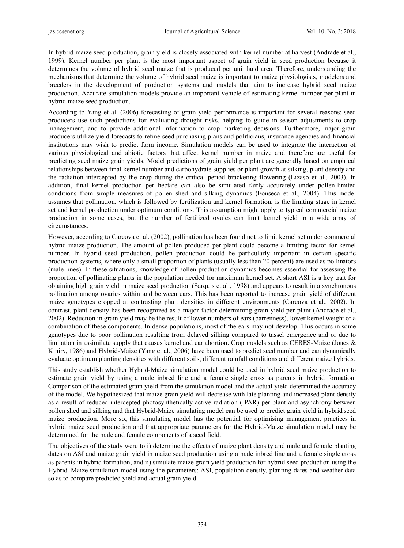In hybrid maize seed production, grain yield is closely associated with kernel number at harvest (Andrade et al., 1999). Kernel number per plant is the most important aspect of grain yield in seed production because it determines the volume of hybrid seed maize that is produced per unit land area. Therefore, understanding the mechanisms that determine the volume of hybrid seed maize is important to maize physiologists, modelers and breeders in the development of production systems and models that aim to increase hybrid seed maize production. Accurate simulation models provide an important vehicle of estimating kernel number per plant in hybrid maize seed production.

According to Yang et al. (2006) forecasting of grain yield performance is important for several reasons: seed producers use such predictions for evaluating drought risks, helping to guide in-season adjustments to crop management, and to provide additional information to crop marketing decisions. Furthermore, major grain producers utilize yield forecasts to refine seed purchasing plans and politicians, insurance agencies and financial institutions may wish to predict farm income. Simulation models can be used to integrate the interaction of various physiological and abiotic factors that affect kernel number in maize and therefore are useful for predicting seed maize grain yields. Model predictions of grain yield per plant are generally based on empirical relationships between final kernel number and carbohydrate supplies or plant growth at silking, plant density and the radiation intercepted by the crop during the critical period bracketing flowering (Lizaso et al., 2003). In addition, final kernel production per hectare can also be simulated fairly accurately under pollen-limited conditions from simple measures of pollen shed and silking dynamics (Fonseca et al., 2004). This model assumes that pollination, which is followed by fertilization and kernel formation, is the limiting stage in kernel set and kernel production under optimum conditions. This assumption might apply to typical commercial maize production in some cases, but the number of fertilized ovules can limit kernel yield in a wide array of circumstances.

However, according to Carcova et al. (2002), pollination has been found not to limit kernel set under commercial hybrid maize production. The amount of pollen produced per plant could become a limiting factor for kernel number. In hybrid seed production, pollen production could be particularly important in certain specific production systems, where only a small proportion of plants (usually less than 20 percent) are used as pollinators (male lines). In these situations, knowledge of pollen production dynamics becomes essential for assessing the proportion of pollinating plants in the population needed for maximum kernel set. A short ASI is a key trait for obtaining high grain yield in maize seed production (Sarquis et al., 1998) and appears to result in a synchronous pollination among ovaries within and between ears. This has been reported to increase grain yield of different maize genotypes cropped at contrasting plant densities in different environments (Carcova et al., 2002). In contrast, plant density has been recognized as a major factor determining grain yield per plant (Andrade et al., 2002). Reduction in grain yield may be the result of lower numbers of ears (barrenness), lower kernel weight or a combination of these components. In dense populations, most of the ears may not develop. This occurs in some genotypes due to poor pollination resulting from delayed silking compared to tassel emergence and or due to limitation in assimilate supply that causes kernel and ear abortion. Crop models such as CERES-Maize (Jones  $\&$ Kiniry, 1986) and Hybrid-Maize (Yang et al., 2006) have been used to predict seed number and can dynamically evaluate optimum planting densities with different soils, different rainfall conditions and different maize hybrids.

This study establish whether Hybrid-Maize simulation model could be used in hybrid seed maize production to estimate grain yield by using a male inbred line and a female single cross as parents in hybrid formation. Comparison of the estimated grain yield from the simulation model and the actual yield determined the accuracy of the model. We hypothesized that maize grain yield will decrease with late planting and increased plant density as a result of reduced intercepted photosynthetically active radiation (IPAR) per plant and asynchrony between pollen shed and silking and that Hybrid-Maize simulating model can be used to predict grain yield in hybrid seed maize production. More so, this simulating model has the potential for optimising management practices in hybrid maize seed production and that appropriate parameters for the Hybrid-Maize simulation model may be determined for the male and female components of a seed field.

The objectives of the study were to i) determine the effects of maize plant density and male and female planting dates on ASI and maize grain yield in maize seed production using a male inbred line and a female single cross as parents in hybrid formation, and ii) simulate maize grain yield production for hybrid seed production using the Hybrid–Maize simulation model using the parameters: ASI, population density, planting dates and weather data so as to compare predicted yield and actual grain yield.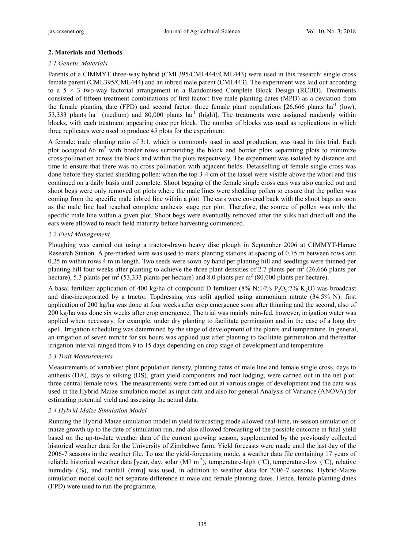# **2. Materials and Methods**

# *2.1 Genetic Materials*

Parents of a CIMMYT three-way hybrid (CML395/CML444//CML443) were used in this research: single cross female parent (CML395/CML444) and an inbred male parent (CML443). The experiment was laid out according to a  $5 \times 3$  two-way factorial arrangement in a Randomised Complete Block Design (RCBD). Treatments consisted of fifteen treatment combinations of first factor: five male planting dates (MPD) as a deviation from the female planting date (FPD) and second factor: three female plant populations  $[26,666$  plants ha<sup>-1</sup> (low), 53,333 plants ha<sup>-1</sup> (medium) and 80,000 plants ha<sup>-1</sup> (high)]. The treatments were assigned randomly within blocks, with each treatment appearing once per block. The number of blocks was used as replications in which three replicates were used to produce 45 plots for the experiment.

A female: male planting ratio of 3:1, which is commonly used in seed production, was used in this trial. Each plot occupied 66  $m<sup>2</sup>$  with border rows surrounding the block and border plots separating plots to minimize cross-pollination across the block and within the plots respectively. The experiment was isolated by distance and time to ensure that there was no cross pollination with adjacent fields. Detasselling of female single cross was done before they started shedding pollen: when the top 3-4 cm of the tassel were visible above the whorl and this continued on a daily basis until complete. Shoot begging of the female single cross ears was also carried out and shoot begs were only removed on plots where the male lines were shedding pollen to ensure that the pollen was coming from the specific male inbred line within a plot. The ears were covered back with the shoot bags as soon as the male line had reached complete anthesis stage per plot. Therefore, the source of pollen was only the specific male line within a given plot. Shoot begs were eventually removed after the silks had dried off and the ears were allowed to reach field maturity before harvesting commenced.

# *2.2 Field Management*

Ploughing was carried out using a tractor-drawn heavy disc plough in September 2006 at CIMMYT-Harare Research Station. A pre-marked wire was used to mark planting stations at spacing of 0.75 m between rows and 0.25 m within rows 4 m in length. Two seeds were sown by hand per planting hill and seedlings were thinned per planting hill four weeks after planting to achieve the three plant densities of 2.7 plants per  $m^2$  (26,666 plants per hectare), 5.3 plants per  $m^2$  (53,333 plants per hectare) and 8.0 plants per  $m^2$  (80,000 plants per hectare).

A basal fertilizer application of 400 kg/ha of compound D fertilizer (8% N:14% P<sub>2</sub>O<sub>5</sub>:7% K<sub>2</sub>O) was broadcast and disc-incorporated by a tractor. Topdressing was split applied using ammonium nitrate (34.5% N): first application of 200 kg/ha was done at four weeks after crop emergence soon after thinning and the second, also of 200 kg/ha was done six weeks after crop emergence. The trial was mainly rain-fed, however, irrigation water was applied when necessary, for example, under dry planting to facilitate germination and in the case of a long dry spell. Irrigation scheduling was determined by the stage of development of the plants and temperature. In general, an irrigation of seven mm/hr for six hours was applied just after planting to facilitate germination and thereafter irrigation interval ranged from 9 to 15 days depending on crop stage of development and temperature.

# *2.3 Trait Measurements*

Measurements of variables: plant population density, planting dates of male line and female single cross, days to anthesis (DA), days to silking (DS), grain yield components and root lodging, were carried out in the net plot: three central female rows. The measurements were carried out at various stages of development and the data was used in the Hybrid-Maize simulation model as input data and also for general Analysis of Variance (ANOVA) for estimating potential yield and assessing the actual data.

# *2.4 Hybrid-Maize Simulation Model*

Running the Hybrid-Maize simulation model in yield forecasting mode allowed real-time, in-season simulation of maize growth up to the date of simulation run, and also allowed forecasting of the possible outcome in final yield based on the up-to-date weather data of the current growing season, supplemented by the previously collected historical weather data for the University of Zimbabwe farm. Yield forecasts were made until the last day of the 2006-7 seasons in the weather file. To use the yield-forecasting mode, a weather data file containing 17 years of reliable historical weather data [year, day, solar (MJ m<sup>-2</sup>), temperature-high ( $^{\circ}$ C), temperature-low ( $^{\circ}$ C), relative humidity (%), and rainfall (mm)] was used, in addition to weather data for 2006-7 seasons. Hybrid-Maize simulation model could not separate difference in male and female planting dates. Hence, female planting dates (FPD) were used to run the programme.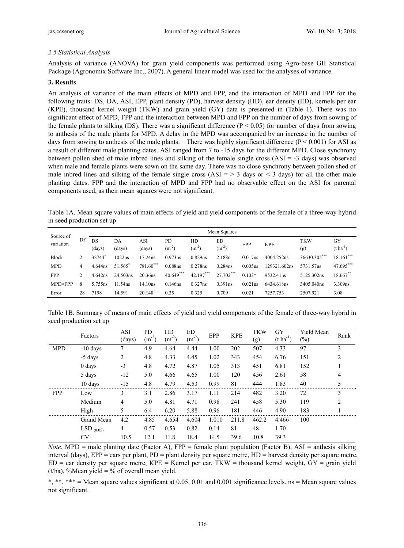# *2.5 Statistical Analysis*

Analysis of variance (ANOVA) for grain yield components was performed using Agro-base GII Statistical Package (Agronomix Software Inc., 2007). A general linear model was used for the analyses of variance.

#### **3. Results**

An analysis of variance of the main effects of MPD and FPP, and the interaction of MPD and FPP for the following traits: DS, DA, ASI, EPP, plant density (PD), harvest density (HD), ear density (ED), kernels per ear (KPE), thousand kernel weight (TKW) and grain yield (GY) data is presented in (Table 1). There was no significant effect of MPD, FPP and the interaction between MPD and FPP on the number of days from sowing of the female plants to silking (DS). There was a significant difference ( $P < 0.05$ ) for number of days from sowing to anthesis of the male plants for MPD. A delay in the MPD was accompanied by an increase in the number of days from sowing to anthesis of the male plants. There was highly significant difference  $(P < 0.001)$  for ASI as a result of different male planting dates. ASI ranged from 7 to -15 days for the different MPD. Close synchrony between pollen shed of male inbred lines and silking of the female single cross (ASI = -3 days) was observed when male and female plants were sown on the same day. There was no close synchrony between pollen shed of male inbred lines and silking of the female single cross (ASI =  $>$  3 days or  $<$  3 days) for all the other male planting dates. FPP and the interaction of MPD and FPP had no observable effect on the ASI for parental components used, as their mean squares were not significant.

Table 1A. Mean square values of main effects of yield and yield components of the female of a three-way hybrid in seed production set up

| Source of      |    | Mean Squares |          |             |             |            |             |            |              |            |                       |
|----------------|----|--------------|----------|-------------|-------------|------------|-------------|------------|--------------|------------|-----------------------|
| variation      | Df | DS           | DA       | ASI         | <b>PD</b>   | HD         | ED          |            | <b>KPE</b>   | <b>TKW</b> | GY                    |
|                |    | (days)       | (days)   | (days)      | $(m^{-2})$  | $(m^{-2})$ | $(m^{-2})$  | EPP        |              | (g)        | $(t \text{ ha}^{-1})$ |
| <b>Block</b>   | 2  | 32744        | 1022ns   | 17.24ns     | $0.973$ ns  | $0.829$ ns | 2.188n      | 0.017ns    | 4004.252ns   | 36630.305  | $18.161***$           |
| <b>MPD</b>     | 4  | 4.644ns      | 51.565*  | $781.60***$ | $0.088$ ns  | 0.278ns    | 0.284ns     | 0.005ns    | 129321.602ns | 5731.57ns  | 47.695***             |
| <b>FPP</b>     | 2  | 4.642ns      | 24.503ns | 20.36ns     | $40.649***$ | 42.197***  | $27.702***$ | $0.103*$   | 9532.41ns    | 5125.302ns | 18.667**              |
| <b>MPD×FPP</b> | 8  | 5.755ns      | 11.54ns  | 14.10ns     | $0.146$ ns  | $0.327$ ns | $0.391$ ns  | $0.021$ ns | 6434.618ns   | 3405.040ns | 3.309ns               |
| Error          | 28 | 7198         | 14.591   | 20.148      | 0.35        | 0.325      | 0.709       | 0.021      | 7257.753     | 2507.921   | 3.08                  |

Table 1B. Summary of means of main effects of yield and yield components of the female of three-way hybrid in seed production set up

|            | Factors        | ASI<br>(days) | PD<br>$(m^{-2})$ | HD<br>$(m^{-2})$ | ED<br>$(m^{-2})$ | EPP   | <b>KPE</b> | <b>TKW</b><br>(g) | GY<br>$(t \, ha^{-1})$ | Yield Mean<br>$(\%)$ | Rank           |
|------------|----------------|---------------|------------------|------------------|------------------|-------|------------|-------------------|------------------------|----------------------|----------------|
| <b>MPD</b> | $-10$ days     | $7^{\circ}$   | 4.9              | 4.64             | 4.44             | 1.00  | 202        | 507               | 4.33                   | 97                   | 3              |
|            | -5 days        | 2             | 4.8              | 4.33             | 4.45             | 1.02  | 343        | 454               | 6.76                   | 151                  | 2              |
|            | $0$ days       | $-3$          | 4.8              | 4.72             | 4.87             | 1.05  | 313        | 451               | 6.81                   | 152                  |                |
|            | 5 days         | $-12$         | 5.0              | 4.66             | 4.65             | 1.00  | 120        | 456               | 2.61                   | 58                   | $\overline{4}$ |
|            | 10 days        | $-15$         | 4.8              | 4.79             | 4.53             | 0.99  | 81         | 444               | 1.83                   | 40                   | 5              |
| <b>FPP</b> | Low            | 3             | 3.1              | 2.86             | 3.17             | 1.11  | 214        | 482               | 3.20                   | 72                   | 3              |
|            | Medium         | 4             | 5.0              | 4.81             | 4.71             | 0.98  | 241        | 458               | 5.30                   | 119                  | 2              |
|            | High           | 5             | 6.4              | 6.20             | 5.88             | 0.96  | 181        | 446               | 4.90                   | 183                  |                |
|            | Grand Mean     | 4.2           | 4.85             | 4.654            | 4.604            | 1.010 | 211.8      | 462.2             | 4.466                  | 100                  |                |
|            | $LSD_{(0.05)}$ | 4             | 0.57             | 0.53             | 0.82             | 0.14  | 81         | 48                | 1.70                   |                      |                |
|            | <b>CV</b>      | 10.5          | 12.1             | 11.8             | 18.4             | 14.5  | 39.6       | 10.8              | 39.3                   |                      |                |

*Note*. MPD = male planting date (Factor A), FPP = female plant population (Factor B), ASI = anthesis silking interval (days), EPP = ears per plant, PD = plant density per square metre, HD = harvest density per square metre,  $ED =$  ear density per square metre,  $KPE =$  Kernel per ear, TKW = thousand kernel weight,  $GY =$  grain yield (t/ha), %Mean yield = % of overall mean yield.

\*, \*\*, \*\*\* = Mean square values significant at 0.05, 0.01 and 0.001 significance levels. ns = Mean square values not significant.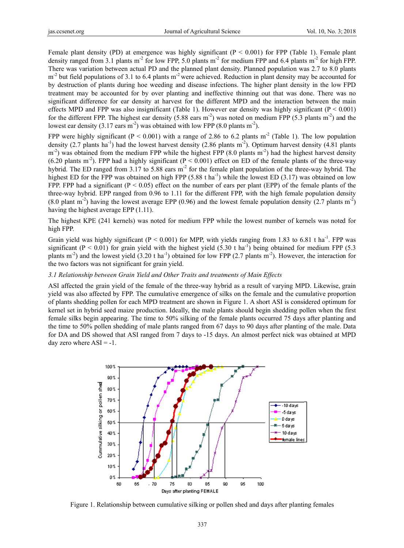Female plant density (PD) at emergence was highly significant ( $P < 0.001$ ) for FPP (Table 1). Female plant density ranged from 3.1 plants  $m^2$  for low FPP, 5.0 plants  $m^2$  for medium FPP and 6.4 plants  $m^2$  for high FPP. There was variation between actual PD and the planned plant density. Planned population was 2.7 to 8.0 plants  $m<sup>-2</sup>$  but field populations of 3.1 to 6.4 plants  $m<sup>-2</sup>$  were achieved. Reduction in plant density may be accounted for by destruction of plants during hoe weeding and disease infections. The higher plant density in the low FPD treatment may be accounted for by over planting and ineffective thinning out that was done. There was no significant difference for ear density at harvest for the different MPD and the interaction between the main effects MPD and FPP was also insignificant (Table 1). However ear density was highly significant ( $P < 0.001$ ) for the different FPP. The highest ear density (5.88 ears  $m^{-2}$ ) was noted on medium FPP (5.3 plants  $m^{-2}$ ) and the lowest ear density (3.17 ears  $m^{-2}$ ) was obtained with low FPP (8.0 plants  $m^{-2}$ ).

FPP were highly significant ( $P < 0.001$ ) with a range of 2.86 to 6.2 plants m<sup>-2</sup> (Table 1). The low population density (2.7 plants ha<sup>-1</sup>) had the lowest harvest density (2.86 plants m<sup>-2</sup>). Optimum harvest density (4.81 plants  $m<sup>2</sup>$ ) was obtained from the medium FPP while the highest FPP (8.0 plants  $m<sup>2</sup>$ ) had the highest harvest density  $(6.20 \text{ plants m}^{-2})$ . FPP had a highly significant (P < 0.001) effect on ED of the female plants of the three-way hybrid. The ED ranged from 3.17 to 5.88 ears  $m<sup>2</sup>$  for the female plant population of the three-way hybrid. The highest ED for the FPP was obtained on high FPP (5.88 t ha<sup>-1</sup>) while the lowest ED (3.17) was obtained on low FPP. FPP had a significant ( $P < 0.05$ ) effect on the number of ears per plant (EPP) of the female plants of the three-way hybrid. EPP ranged from 0.96 to 1.11 for the different FPP, with the high female population density  $(8.0 \text{ plant m}^{-2})$  having the lowest average EPP (0.96) and the lowest female population density (2.7 plants m<sup>-2</sup>) having the highest average EPP (1.11).

The highest KPE (241 kernels) was noted for medium FPP while the lowest number of kernels was noted for high FPP.

Grain yield was highly significant ( $P < 0.001$ ) for MPP, with yields ranging from 1.83 to 6.81 t ha<sup>-1</sup>. FPP was significant ( $P < 0.01$ ) for grain yield with the highest yield (5.30 t ha<sup>-1</sup>) being obtained for medium FPP (5.3 plants  $m<sup>2</sup>$ ) and the lowest yield (3.20 t ha<sup>-1</sup>) obtained for low FPP (2.7 plants  $m<sup>2</sup>$ ). However, the interaction for the two factors was not significant for grain yield.

#### 3.1 Relationship between Grain Yield and Other Traits and treatments of Main Effects

ASI affected the grain yield of the female of the three-way hybrid as a result of varying MPD. Likewise, grain yield was also affected by FPP. The cumulative emergence of silks on the female and the cumulative proportion of plants shedding pollen for each MPD treatment are shown in Figure 1. A short ASI is considered optimum for kernel set in hybrid seed maize production. Ideally, the male plants should begin shedding pollen when the first female silks begin appearing. The time to 50% silking of the female plants occurred 75 days after planting and the time to 50% pollen shedding of male plants ranged from 67 days to 90 days after planting of the male. Data for DA and DS showed that ASI ranged from 7 days to -15 days. An almost perfect nick was obtained at MPD day zero where  $ASI = -1$ .



Figure 1. Relationship between cumulative silking or pollen shed and days after planting females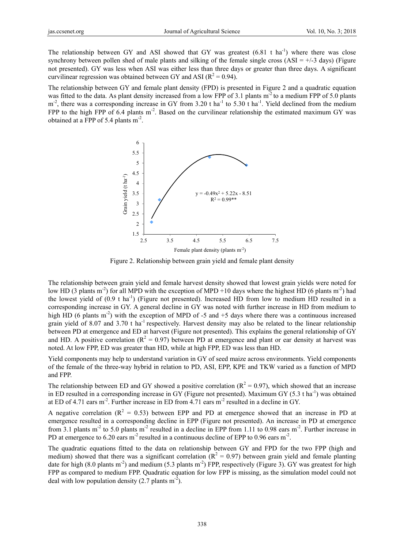The relationship between GY and ASI showed that GY was greatest  $(6.81 \text{ t} \text{ ha}^{-1})$  where there was close synchrony between pollen shed of male plants and silking of the female single cross (ASI =  $+/-3$  days) (Figure not presented). GY was less when ASI was either less than three days or greater than three days. A significant curvilinear regression was obtained between GY and ASI ( $R^2 = 0.94$ ).

The relationship between GY and female plant density (FPD) is presented in Figure 2 and a quadratic equation was fitted to the data. As plant density increased from a low FPP of 3.1 plants m<sup>-2</sup> to a medium FPP of 5.0 plants  $m<sup>2</sup>$ , there was a corresponding increase in GY from 3.20 t ha<sup>-1</sup> to 5.30 t ha<sup>-1</sup>. Yield declined from the medium FPP to the high FPP of 6.4 plants  $m<sup>-2</sup>$ . Based on the curvilinear relationship the estimated maximum GY was obtained at a FPP of 5.4 plants m-2.



Figure 2. Relationship between grain yield and female plant density

The relationship between grain yield and female harvest density showed that lowest grain yields were noted for low HD (3 plants m<sup>-2</sup>) for all MPD with the exception of MPD +10 days where the highest HD (6 plants m<sup>-2</sup>) had the lowest yield of  $(0.9 \text{ t} \text{ ha}^{-1})$  (Figure not presented). Increased HD from low to medium HD resulted in a corresponding increase in GY. A general decline in GY was noted with further increase in HD from medium to high HD (6 plants  $m<sup>2</sup>$ ) with the exception of MPD of -5 and +5 days where there was a continuous increased grain yield of 8.07 and 3.70 t ha<sup>-1</sup> respectively. Harvest density may also be related to the linear relationship between PD at emergence and ED at harvest (Figure not presented). This explains the general relationship of GY and HD. A positive correlation ( $R^2 = 0.97$ ) between PD at emergence and plant or ear density at harvest was noted. At low FPP, ED was greater than HD, while at high FPP, ED was less than HD.

Yield components may help to understand variation in GY of seed maize across environments. Yield components of the female of the three-way hybrid in relation to PD, ASI, EPP, KPE and TKW varied as a function of MPD and FPP.

The relationship between ED and GY showed a positive correlation ( $R^2 = 0.97$ ), which showed that an increase in ED resulted in a corresponding increase in GY (Figure not presented). Maximum GY (5.3 t ha<sup>-1</sup>) was obtained at ED of 4.71 ears m<sup>-2</sup>. Further increase in ED from 4.71 ears m<sup>-2</sup> resulted in a decline in GY.

A negative correlation ( $R^2 = 0.53$ ) between EPP and PD at emergence showed that an increase in PD at emergence resulted in a corresponding decline in EPP (Figure not presented). An increase in PD at emergence from 3.1 plants m<sup>-2</sup> to 5.0 plants m<sup>-2</sup> resulted in a decline in EPP from 1.11 to 0.98 ears m<sup>-2</sup>. Further increase in PD at emergence to 6.20 ears m<sup>-2</sup> resulted in a continuous decline of EPP to 0.96 ears m<sup>-2</sup>.

The quadratic equations fitted to the data on relationship between GY and FPD for the two FPP (high and medium) showed that there was a significant correlation ( $R^2 = 0.97$ ) between grain yield and female planting date for high (8.0 plants m<sup>-2</sup>) and medium (5.3 plants m<sup>-2</sup>) FPP, respectively (Figure 3). GY was greatest for high FPP as compared to medium FPP. Quadratic equation for low FPP is missing, as the simulation model could not deal with low population density  $(2.7 \text{ plants m}^{-2})$ .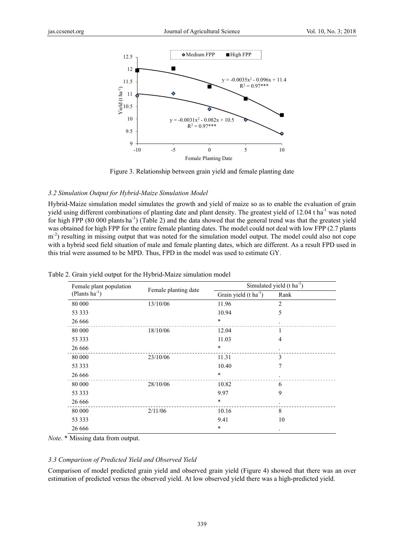

Figure 3. Relationship between grain yield and female planting date

#### *3.2 Simulation Output for Hybrid-Maize Simulation Model*

Hybrid-Maize simulation model simulates the growth and yield of maize so as to enable the evaluation of grain yield using different combinations of planting date and plant density. The greatest yield of 12.04 t ha<sup>-1</sup> was noted for high FPP (80 000 plants ha<sup>-1</sup>) (Table 2) and the data showed that the general trend was that the greatest yield was obtained for high FPP for the entire female planting dates. The model could not deal with low FPP (2.7 plants m<sup>-2</sup>) resulting in missing output that was noted for the simulation model output. The model could also not cope with a hybrid seed field situation of male and female planting dates, which are different. As a result FPD used in this trial were assumed to be MPD. Thus, FPD in the model was used to estimate GY.

| Female plant population |                      | Simulated yield $(t \text{ ha}^{-1})$ |                |  |  |  |
|-------------------------|----------------------|---------------------------------------|----------------|--|--|--|
| (Plants $ha^{-1}$ )     | Female planting date | Grain yield $(t \text{ ha}^{-1})$     | Rank           |  |  |  |
| 80 000                  | 13/10/06             | 11.96                                 | $\overline{c}$ |  |  |  |
| 53 333                  |                      | 10.94                                 | 5              |  |  |  |
| 26 6 6 6                |                      | $\ast$                                |                |  |  |  |
| 80 000                  | 18/10/06             | 12.04                                 |                |  |  |  |
| 53 333                  |                      | 11.03                                 | 4              |  |  |  |
| 26 6 6 6                |                      | $\ast$                                |                |  |  |  |
| 80 000                  | 23/10/06             | 11.31                                 | 3              |  |  |  |
| 53 333                  |                      | 10.40                                 | 7              |  |  |  |
| 26 6 6 6                |                      | $\ast$                                |                |  |  |  |
| 80 000                  | 28/10/06             | 10.82                                 | 6              |  |  |  |
| 53 333                  |                      | 9.97                                  | 9              |  |  |  |
| 26 6 6 6                |                      | $\ast$                                |                |  |  |  |
| 80 000                  | 2/11/06              | 10.16                                 | 8              |  |  |  |
| 53 333                  |                      | 9.41                                  | 10             |  |  |  |
| 26 6 6 6                |                      | *                                     |                |  |  |  |

Table 2. Grain yield output for the Hybrid-Maize simulation model

*Note*. \* Missing data from output.

#### *3.3 Comparison of Predicted Yield and Observed Yield*

Comparison of model predicted grain yield and observed grain yield (Figure 4) showed that there was an over estimation of predicted versus the observed yield. At low observed yield there was a high-predicted yield.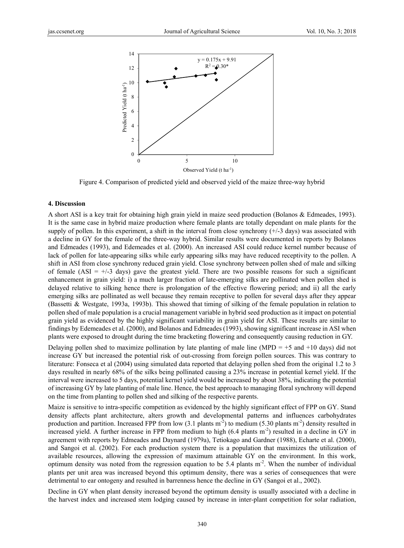

Figure 4. Comparison of predicted yield and observed yield of the maize three-way hybrid

#### **4. Discussion**

A short ASI is a key trait for obtaining high grain yield in maize seed production (Bolanos & Edmeades, 1993). It is the same case in hybrid maize production where female plants are totally dependant on male plants for the supply of pollen. In this experiment, a shift in the interval from close synchrony  $(+/3$  days) was associated with a decline in GY for the female of the three-way hybrid. Similar results were documented in reports by Bolanos and Edmeades (1993), and Edemeades et al. (2000). An increased ASI could reduce kernel number because of lack of pollen for late-appearing silks while early appearing silks may have reduced receptivity to the pollen. A shift in ASI from close synchrony reduced grain yield. Close synchrony between pollen shed of male and silking of female (ASI =  $+/-3$  days) gave the greatest yield. There are two possible reasons for such a significant enhancement in grain yield: i) a much larger fraction of late-emerging silks are pollinated when pollen shed is delayed relative to silking hence there is prolongation of the effective flowering period; and ii) all the early emerging silks are pollinated as well because they remain receptive to pollen for several days after they appear (Bassetti & Westgate, 1993a, 1993b). This showed that timing of silking of the female population in relation to pollen shed of male population is a crucial management variable in hybrid seed production as it impact on potential grain yield as evidenced by the highly significant variability in grain yield for ASI. These results are similar to findings by Edemeades et al. (2000), and Bolanos and Edmeades (1993), showing significant increase in ASI when plants were exposed to drought during the time bracketing flowering and consequently causing reduction in GY.

Delaying pollen shed to maximize pollination by late planting of male line (MPD =  $+5$  and  $+10$  days) did not increase GY but increased the potential risk of out-crossing from foreign pollen sources. This was contrary to literature: Fonseca et al (2004) using simulated data reported that delaying pollen shed from the original 1.2 to 3 days resulted in nearly 68% of the silks being pollinated causing a 23% increase in potential kernel yield. If the interval were increased to 5 days, potential kernel yield would be increased by about 38%, indicating the potential of increasing GY by late planting of male line. Hence, the best approach to managing floral synchrony will depend on the time from planting to pollen shed and silking of the respective parents.

Maize is sensitive to intra-specific competition as evidenced by the highly significant effect of FPP on GY. Stand density affects plant architecture, alters growth and developmental patterns and influences carbohydrates production and partition. Increased FPP from low  $(3.1 \text{ plants m}^2)$  to medium  $(5.30 \text{ plants m}^2)$  density resulted in increased yield. A further increase in FPP from medium to high  $(6.4$  plants m<sup>-2</sup>) resulted in a decline in GY in agreement with reports by Edmeades and Daynard (1979a), Tetiokago and Gardner (1988), Echarte et al. (2000), and Sangoi et al. (2002). For each production system there is a population that maximizes the utilization of available resources, allowing the expression of maximum attainable GY on the environment. In this work, optimum density was noted from the regression equation to be 5.4 plants m<sup>-2</sup>. When the number of individual plants per unit area was increased beyond this optimum density, there was a series of consequences that were detrimental to ear ontogeny and resulted in barrenness hence the decline in GY (Sangoi et al., 2002).

Decline in GY when plant density increased beyond the optimum density is usually associated with a decline in the harvest index and increased stem lodging caused by increase in inter-plant competition for solar radiation,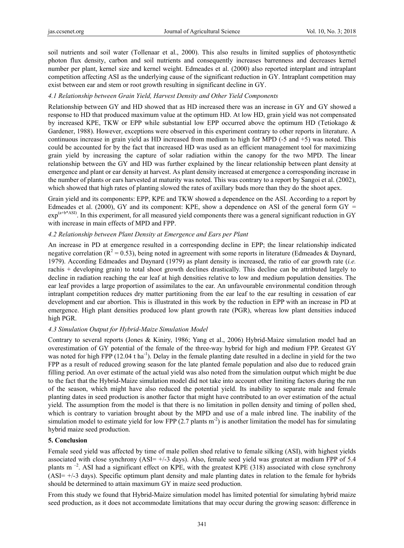soil nutrients and soil water (Tollenaar et al., 2000). This also results in limited supplies of photosynthetic photon flux density, carbon and soil nutrients and consequently increases barrenness and decreases kernel number per plant, kernel size and kernel weight. Edmeades et al. (2000) also reported interplant and intraplant competition affecting ASI as the underlying cause of the significant reduction in GY. Intraplant competition may exist between ear and stem or root growth resulting in significant decline in GY.

#### *4.1 Relationship between Grain Yield, Harvest Density and Other Yield Components*

Relationship between GY and HD showed that as HD increased there was an increase in GY and GY showed a response to HD that produced maximum value at the optimum HD. At low HD, grain yield was not compensated by increased KPE, TKW or EPP while substantial low EPP occurred above the optimum HD (Tetiokago & Gardener, 1988). However, exceptions were observed in this experiment contrary to other reports in literature. A continuous increase in grain yield as HD increased from medium to high for MPD (-5 and +5) was noted. This could be accounted for by the fact that increased HD was used as an efficient management tool for maximizing grain yield by increasing the capture of solar radiation within the canopy for the two MPD. The linear relationship between the GY and HD was further explained by the linear relationship between plant density at emergence and plant or ear density at harvest. As plant density increased at emergence a corresponding increase in the number of plants or ears harvested at maturity was noted. This was contrary to a report by Sangoi et al. (2002), which showed that high rates of planting slowed the rates of axillary buds more than they do the shoot apex.

Grain yield and its components: EPP, KPE and TKW showed a dependence on the ASI. According to a report by Edmeades et al. (2000), GY and its component: KPE, show a dependence on ASI of the general form GY  $=$  $exp<sup>(a+b*ASI)</sup>$ . In this experiment, for all measured yield components there was a general significant reduction in GY with increase in main effects of MPD and FPP.

# *4.2 Relationship between Plant Density at Emergence and Ears per Plant*

An increase in PD at emergence resulted in a corresponding decline in EPP; the linear relationship indicated negative correlation ( $R^2 = 0.53$ ), being noted in agreement with some reports in literature (Edmeades & Daynard, 1979). According Edmeades and Daynard (1979) as plant density is increased, the ratio of ear growth rate (*i.e.* rachis + developing grain) to total shoot growth declines drastically. This decline can be attributed largely to decline in radiation reaching the ear leaf at high densities relative to low and medium population densities. The ear leaf provides a large proportion of assimilates to the ear. An unfavourable environmental condition through intraplant competition reduces dry matter partitioning from the ear leaf to the ear resulting in cessation of ear development and ear abortion. This is illustrated in this work by the reduction in EPP with an increase in PD at emergence. High plant densities produced low plant growth rate (PGR), whereas low plant densities induced high PGR.

# *4.3 Simulation Output for Hybrid-Maize Simulation Model*

Contrary to several reports (Jones & Kiniry, 1986; Yang et al., 2006) Hybrid-Maize simulation model had an overestimation of GY potential of the female of the three-way hybrid for high and medium FPP. Greatest GY was noted for high FPP  $(12.04 \text{ tha}^{-1})$ . Delay in the female planting date resulted in a decline in yield for the two FPP as a result of reduced growing season for the late planted female population and also due to reduced grain filling period. An over estimate of the actual yield was also noted from the simulation output which might be due to the fact that the Hybrid-Maize simulation model did not take into account other limiting factors during the run of the season, which might have also reduced the potential yield. Its inability to separate male and female planting dates in seed production is another factor that might have contributed to an over estimation of the actual yield. The assumption from the model is that there is no limitation in pollen density and timing of pollen shed, which is contrary to variation brought about by the MPD and use of a male inbred line. The inability of the simulation model to estimate yield for low FPP  $(2.7 \text{ plants m}^{-2})$  is another limitation the model has for simulating hybrid maize seed production.

# **5. Conclusion**

Female seed yield was affected by time of male pollen shed relative to female silking (ASI), with highest yields associated with close synchrony (ASI= +/-3 days). Also, female seed yield was greatest at medium FPP of 5.4 plants m<sup>-2</sup>. ASI had a significant effect on KPE, with the greatest KPE (318) associated with close synchrony (ASI= +/-3 days). Specific optimum plant density and male planting dates in relation to the female for hybrids should be determined to attain maximum GY in maize seed production.

From this study we found that Hybrid-Maize simulation model has limited potential for simulating hybrid maize seed production, as it does not accommodate limitations that may occur during the growing season: difference in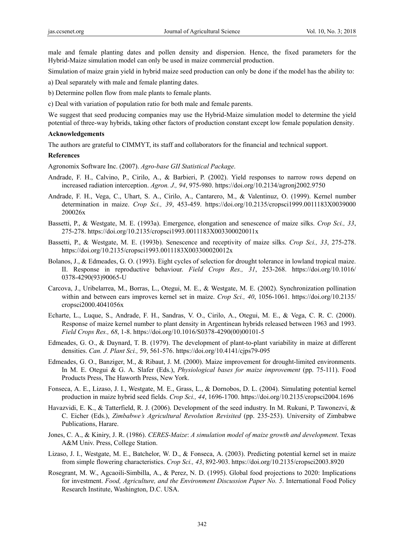male and female planting dates and pollen density and dispersion. Hence, the fixed parameters for the Hybrid-Maize simulation model can only be used in maize commercial production.

Simulation of maize grain yield in hybrid maize seed production can only be done if the model has the ability to:

a) Deal separately with male and female planting dates.

b) Determine pollen flow from male plants to female plants.

c) Deal with variation of population ratio for both male and female parents.

We suggest that seed producing companies may use the Hybrid-Maize simulation model to determine the yield potential of three-way hybrids, taking other factors of production constant except low female population density.

#### **Acknowledgements**

The authors are grateful to CIMMYT, its staff and collaborators for the financial and technical support.

### **References**

Agronomix Software Inc. (2007). *Agro-base GII Statistical Package*.

- Andrade, F. H., Calvino, P., Cirilo, A., & Barbieri, P. (2002). Yield responses to narrow rows depend on increased radiation interception. *Agron. J., 94*, 975-980. https://doi.org/10.2134/agronj2002.9750
- Andrade, F. H., Vega, C., Uhart, S. A., Cirilo, A., Cantarero, M., & Valentinuz, O. (1999). Kernel number determination in maize. *Crop Sci., 39*, 453-459. https://doi.org/10.2135/cropsci1999.0011183X0039000 200026x
- Bassetti, P., & Westgate, M. E. (1993a). Emergence, elongation and senescence of maize silks. *Crop Sci., 33*, 275-278. https://doi.org/10.2135/cropsci1993.0011183X003300020011x
- Bassetti, P., & Westgate, M. E. (1993b). Senescence and receptivity of maize silks. *Crop Sci., 33*, 275-278. https://doi.org/10.2135/cropsci1993.0011183X003300020012x
- Bolanos, J., & Edmeades, G. O. (1993). Eight cycles of selection for drought tolerance in lowland tropical maize. II. Response in reproductive behaviour. *Field Crops Res., 31*, 253-268. https://doi.org/10.1016/ 0378-4290(93)90065-U
- Carcova, J., Uribelarrea, M., Borras, L., Otegui, M. E., & Westgate, M. E. (2002). Synchronization pollination within and between ears improves kernel set in maize. *Crop Sci., 40*, 1056-1061. https://doi.org/10.2135/ cropsci2000.4041056x
- Echarte, L., Luque, S., Andrade, F. H., Sandras, V. O., Cirilo, A., Otegui, M. E., & Vega, C. R. C. (2000). Response of maize kernel number to plant density in Argentinean hybrids released between 1963 and 1993. *Field Crops Res., 68*, 1-8. https://doi.org/10.1016/S0378-4290(00)00101-5
- Edmeades, G. O., & Daynard, T. B. (1979). The development of plant-to-plant variability in maize at different densities. *Can. J. Plant Sci.,* 59, 561-576. https://doi.org/10.4141/cjps79-095
- Edmeades, G. O., Banziger, M., & Ribaut, J. M. (2000). Maize improvement for drought-limited environments. In M. E. Otegui & G. A. Slafer (Eds.), *Physiological bases for maize improvement* (pp. 75-111). Food Products Press, The Haworth Press, New York.
- Fonseca, A. E., Lizaso, J. I., Westgate, M. E., Grass, L., & Dornobos, D. L. (2004). Simulating potential kernel production in maize hybrid seed fields. *Crop Sci., 44*, 1696-1700. https://doi.org/10.2135/cropsci2004.1696
- Havazvidi, E. K., & Tatterfield, R. J. (2006). Development of the seed industry. In M. Rukuni, P. Tawonezvi, & C. Eicher (Eds.), *Zimbabwe's Agricultural Revolution Revisited* (pp. 235-253). University of Zimbabwe Publications, Harare.
- Jones, C. A., & Kiniry, J. R. (1986). *CERES-Maize*: *A simulation model of maize growth and development*. Texas A&M Univ. Press, College Station.
- Lizaso, J. I., Westgate, M. E., Batchelor, W. D., & Fonseca, A. (2003). Predicting potential kernel set in maize from simple flowering characteristics. *Crop Sci., 43*, 892-903. https://doi.org/10.2135/cropsci2003.8920
- Rosegrant, M. W., Agcaoili-Simbilla, A., & Perez, N. D. (1995). Global food projections to 2020: Implications for investment. *Food, Agriculture, and the Environment Discussion Paper No. 5*. International Food Policy Research Institute, Washington, D.C. USA.